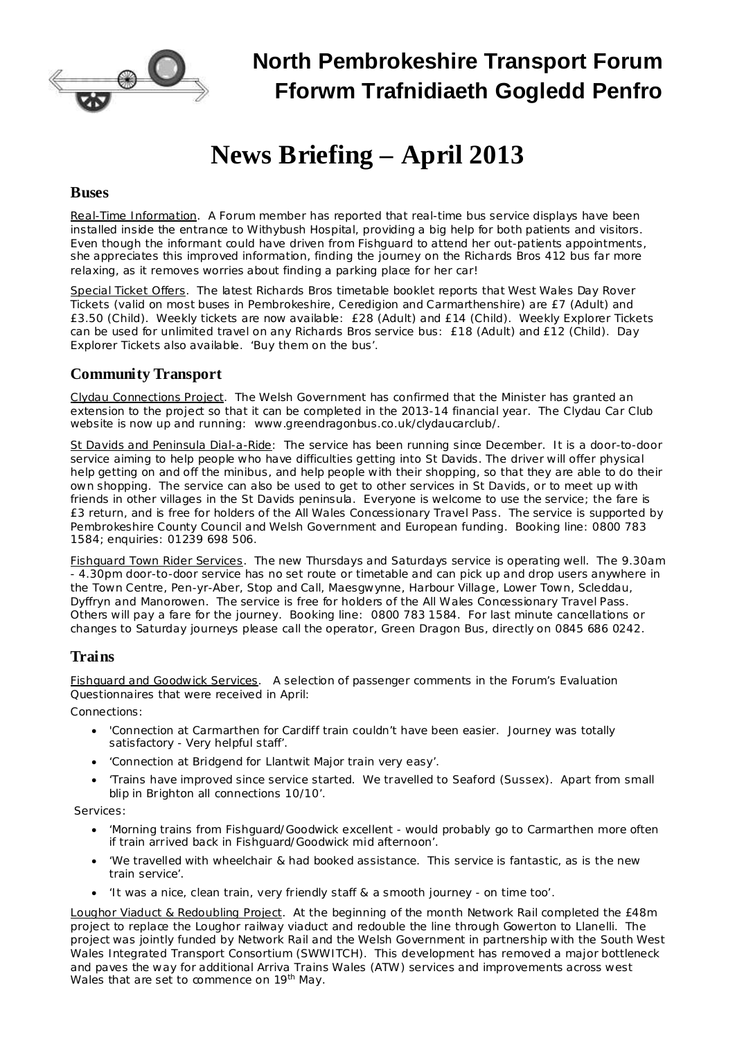

# **North Pembrokeshire Transport Forum Fforwm Trafnidiaeth Gogledd Penfro**

# **News Briefing – April 2013**

#### **Buses**

Real-Time Information. A Forum member has reported that real-time bus service displays have been installed inside the entrance to Withybush Hospital, providing a big help for both patients and visitors. Even though the informant could have driven from Fishguard to attend her out-patients appointments, she appreciates this improved information, finding the journey on the Richards Bros 412 bus far more relaxing, as it removes worries about finding a parking place for her car!

Special Ticket Offers. The latest Richards Bros timetable booklet reports that West Wales Day Rover Tickets (valid on most buses in Pembrokeshire, Ceredigion and Carmarthenshire) are £7 (Adult) and £3.50 (Child). Weekly tickets are now available: £28 (Adult) and £14 (Child). Weekly Explorer Tickets can be used for unlimited travel on any Richards Bros service bus: £18 (Adult) and £12 (Child). Day Explorer Tickets also available. 'Buy them on the bus'.

## **Community Transport**

Clydau Connections Project. The Welsh Government has confirmed that the Minister has granted an extension to the project so that it can be completed in the 2013-14 financial year. The Clydau Car Club website is now up and running: [www.greendragonbus.co.uk/clydaucarclub/.](http://www.greendragonbus.co.uk/clydaucarclub/)

St Davids and Peninsula Dial-a-Ride: The service has been running since December. It is a door-to-door service aiming to help people who have difficulties getting into St Davids. The driver will offer physical help getting on and off the minibus, and help people with their shopping, so that they are able to do their own shopping. The service can also be used to get to other services in St Davids, or to meet up with friends in other villages in the St Davids peninsula. Everyone is welcome to use the service; the fare is £3 return, and is free for holders of the All Wales Concessionary Travel Pass. The service is supported by Pembrokeshire County Council and Welsh Government and European funding. Booking line: 0800 783 1584; enquiries: 01239 698 506.

Fishguard Town Rider Services. The new Thursdays and Saturdays service is operating well. The 9.30am - 4.30pm door-to-door service has no set route or timetable and can pick up and drop users anywhere in the Town Centre, Pen-yr-Aber, Stop and Call, Maesgwynne, Harbour Village, Lower Town, Scleddau, Dyffryn and Manorowen. The service is free for holders of the All Wales Concessionary Travel Pass. Others will pay a fare for the journey. Booking line: 0800 783 1584. For last minute cancellations or changes to Saturday journeys please call the operator, Green Dragon Bus, directly on 0845 686 0242.

## **Trains**

Fishguard and Goodwick Services. A selection of passenger comments in the Forum's Evaluation Questionnaires that were received in April:

Connections:

- · *'Connection at Carmarthen for Cardiff train couldn't have been easier. Journey was totally satisfactory - Very helpful staff'.*
- · *'Connection at Bridgend for Llantwit Major train very easy'.*
- · *'Trains have improved since service started. We travelled to Seaford (Sussex). Apart from small blip in Brighton all connections 10/10'.*

Services:

- · *'Morning trains from Fishguard/Goodwick excellent - would probably go to Carmarthen more often if train arrived back in Fishguard/Goodwick mid afternoon'.*
- · *'We travelled with wheelchair & had booked assistance. This service is fantastic, as is the new train service'.*
- · *'It was a nice, clean train, very friendly staff & a smooth journey - on time too'.*

Loughor Viaduct & Redoubling Project. At the beginning of the month Network Rail completed the £48m project to replace the Loughor railway viaduct and redouble the line through Gowerton to Llanelli. The project was jointly funded by Network Rail and the Welsh Government in partnership with the South West Wales Integrated Transport Consortium (SWWITCH). This development has removed a major bottleneck and paves the way for additional Arriva Trains Wales (ATW) services and improvements across west Wales that are set to commence on 19<sup>th</sup> May.